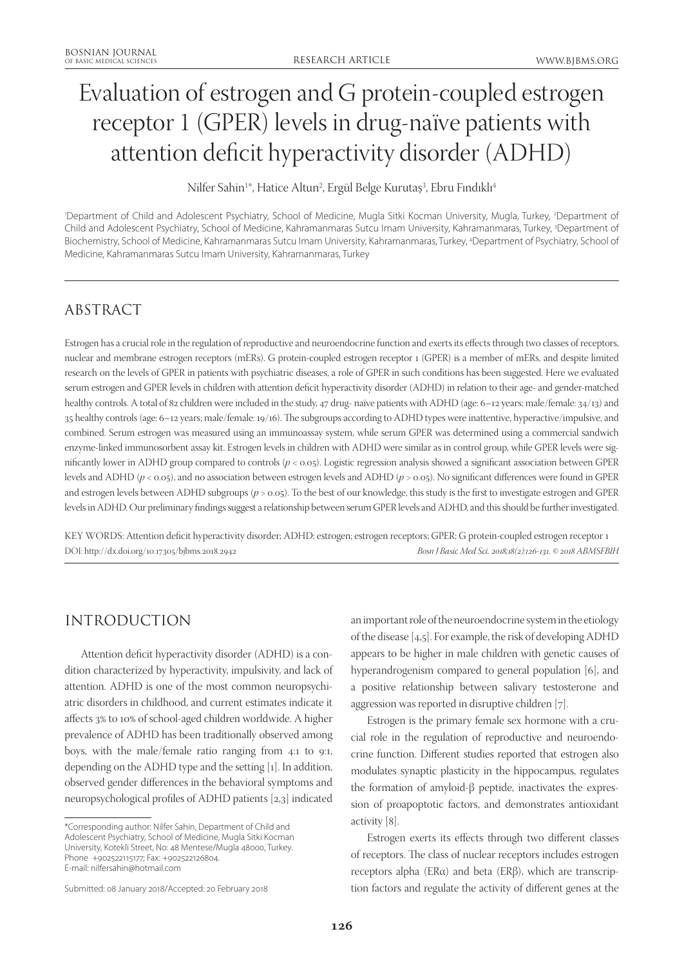# Evaluation of estrogen and G protein-coupled estrogen receptor 1 (GPER) levels in drug-naïve patients with attention deficit hyperactivity disorder (ADHD)

Nilfer Sahin<sup>1</sup>\*, Hatice Altun<sup>2</sup>, Ergül Belge Kurutaş<sup>3</sup>, Ebru Fındıklı<sup>4</sup>

'Department of Child and Adolescent Psychiatry, School of Medicine, Mugla Sitki Kocman University, Mugla, Turkey, <sup>2</sup>Department of Child and Adolescent Psychiatry, School of Medicine, Kahramanmaras Sutcu Imam University, Kahramanmaras, Turkey, 3 Department of Biochemistry, School of Medicine, Kahramanmaras Sutcu Imam University, Kahramanmaras, Turkey, 4 Department of Psychiatry, School of Medicine, Kahramanmaras Sutcu Imam University, Kahramanmaras, Turkey

# ABSTRACT

Estrogen has a crucial role in the regulation of reproductive and neuroendocrine function and exerts its effects through two classes of receptors, nuclear and membrane estrogen receptors (mERs). G protein-coupled estrogen receptor 1 (GPER) is a member of mERs, and despite limited research on the levels of GPER in patients with psychiatric diseases, a role of GPER in such conditions has been suggested. Here we evaluated serum estrogen and GPER levels in children with attention deficit hyperactivity disorder (ADHD) in relation to their age- and gender-matched healthy controls. A total of 82 children were included in the study, 47 drug- naïve patients with ADHD (age: 6–12 years; male/female: 34/13) and 35 healthy controls (age: 6–12 years; male/female: 19/16). The subgroups according to ADHD types were inattentive, hyperactive/impulsive, and combined. Serum estrogen was measured using an immunoassay system, while serum GPER was determined using a commercial sandwich enzyme-linked immunosorbent assay kit. Estrogen levels in children with ADHD were similar as in control group, while GPER levels were significantly lower in ADHD group compared to controls (*p* < 0.05). Logistic regression analysis showed a significant association between GPER levels and ADHD (*p* < 0.05), and no association between estrogen levels and ADHD (*p* > 0.05). No significant differences were found in GPER and estrogen levels between ADHD subgroups ( $p > 0.05$ ). To the best of our knowledge, this study is the first to investigate estrogen and GPER levels in ADHD. Our preliminary findings suggest a relationship between serum GPER levels and ADHD, and this should be further investigated.

KEY WORDS: Attention deficit hyperactivity disorder; ADHD; estrogen; estrogen receptors; GPER; G protein-coupled estrogen receptor 1 DOI: http://dx.doi.org/10.17305/bjbms.2018.2942 *Bosn J Basic Med Sci. 2018;18(2):126-131. © 2018 ABMSFBIH*

## INTRODUCTION

Attention deficit hyperactivity disorder (ADHD) is a condition characterized by hyperactivity, impulsivity, and lack of attention. ADHD is one of the most common neuropsychiatric disorders in childhood, and current estimates indicate it affects 3% to 10% of school-aged children worldwide. A higher prevalence of ADHD has been traditionally observed among boys, with the male/female ratio ranging from 4:1 to 9:1, depending on the ADHD type and the setting [1]. In addition, observed gender differences in the behavioral symptoms and neuropsychological profiles of ADHD patients [2,3] indicated

an important role of the neuroendocrine system in the etiology of the disease [4,5]. For example, the risk of developing ADHD appears to be higher in male children with genetic causes of hyperandrogenism compared to general population [6], and a positive relationship between salivary testosterone and aggression was reported in disruptive children [7].

Estrogen is the primary female sex hormone with a crucial role in the regulation of reproductive and neuroendocrine function. Different studies reported that estrogen also modulates synaptic plasticity in the hippocampus, regulates the formation of amyloid-β peptide, inactivates the expression of proapoptotic factors, and demonstrates antioxidant activity [8].

Estrogen exerts its effects through two different classes of receptors. The class of nuclear receptors includes estrogen receptors alpha (ERα) and beta (ERβ), which are transcription factors and regulate the activity of different genes at the

<sup>\*</sup>Corresponding author: Nilfer Sahin, Department of Child and Adolescent Psychiatry, School of Medicine, Mugla Sitki Kocman University, Kotekli Street, No: 48 Mentese/Mugla 48000, Turkey. Phone +902522115177; Fax: +902522126804. E-mail: nilfersahin@hotmail.com

Submitted: 08 January 2018/Accepted: 20 February 2018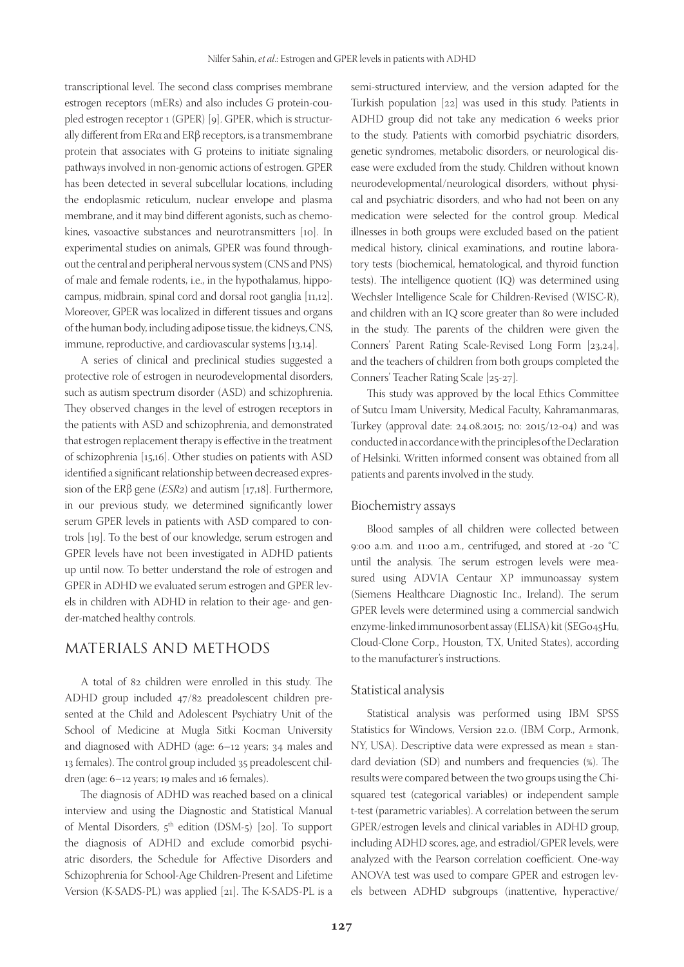transcriptional level. The second class comprises membrane estrogen receptors (mERs) and also includes G protein-coupled estrogen receptor 1 (GPER) [9]. GPER, which is structurally different from ERα and ERβ receptors, is a transmembrane protein that associates with G proteins to initiate signaling pathways involved in non-genomic actions of estrogen. GPER has been detected in several subcellular locations, including the endoplasmic reticulum, nuclear envelope and plasma membrane, and it may bind different agonists, such as chemokines, vasoactive substances and neurotransmitters [10]. In experimental studies on animals, GPER was found throughout the central and peripheral nervous system (CNS and PNS) of male and female rodents, i.e., in the hypothalamus, hippocampus, midbrain, spinal cord and dorsal root ganglia [11,12]. Moreover, GPER was localized in different tissues and organs of the human body, including adipose tissue, the kidneys, CNS, immune, reproductive, and cardiovascular systems [13,14].

A series of clinical and preclinical studies suggested a protective role of estrogen in neurodevelopmental disorders, such as autism spectrum disorder (ASD) and schizophrenia. They observed changes in the level of estrogen receptors in the patients with ASD and schizophrenia, and demonstrated that estrogen replacement therapy is effective in the treatment of schizophrenia [15,16]. Other studies on patients with ASD identified a significant relationship between decreased expression of the ERβ gene (*ESR2*) and autism [17,18]. Furthermore, in our previous study, we determined significantly lower serum GPER levels in patients with ASD compared to controls [19]. To the best of our knowledge, serum estrogen and GPER levels have not been investigated in ADHD patients up until now. To better understand the role of estrogen and GPER in ADHD we evaluated serum estrogen and GPER levels in children with ADHD in relation to their age- and gender-matched healthy controls.

## MATERIALS AND METHODS

A total of 82 children were enrolled in this study. The ADHD group included 47/82 preadolescent children presented at the Child and Adolescent Psychiatry Unit of the School of Medicine at Mugla Sitki Kocman University and diagnosed with ADHD (age: 6–12 years; 34 males and 13 females). The control group included 35 preadolescent children (age: 6–12 years; 19 males and 16 females).

The diagnosis of ADHD was reached based on a clinical interview and using the Diagnostic and Statistical Manual of Mental Disorders, 5<sup>th</sup> edition (DSM-5) [20]. To support the diagnosis of ADHD and exclude comorbid psychiatric disorders, the Schedule for Affective Disorders and Schizophrenia for School-Age Children-Present and Lifetime Version (K-SADS-PL) was applied [21]. The K-SADS-PL is a

semi-structured interview, and the version adapted for the Turkish population [22] was used in this study. Patients in ADHD group did not take any medication 6 weeks prior to the study. Patients with comorbid psychiatric disorders, genetic syndromes, metabolic disorders, or neurological disease were excluded from the study. Children without known neurodevelopmental/neurological disorders, without physical and psychiatric disorders, and who had not been on any medication were selected for the control group. Medical illnesses in both groups were excluded based on the patient medical history, clinical examinations, and routine laboratory tests (biochemical, hematological, and thyroid function tests). The intelligence quotient (IQ) was determined using Wechsler Intelligence Scale for Children-Revised (WISC-R), and children with an IQ score greater than 80 were included in the study. The parents of the children were given the Conners' Parent Rating Scale-Revised Long Form [23,24], and the teachers of children from both groups completed the Conners' Teacher Rating Scale [25-27].

This study was approved by the local Ethics Committee of Sutcu Imam University, Medical Faculty, Kahramanmaras, Turkey (approval date: 24.08.2015; no: 2015/12-04) and was conducted in accordance with the principles of the Declaration of Helsinki. Written informed consent was obtained from all patients and parents involved in the study.

#### Biochemistry assays

Blood samples of all children were collected between 9:00 a.m. and 11:00 a.m., centrifuged, and stored at -20 °C until the analysis. The serum estrogen levels were measured using ADVIA Centaur XP immunoassay system (Siemens Healthcare Diagnostic Inc., Ireland). The serum GPER levels were determined using a commercial sandwich enzyme-linked immunosorbent assay (ELISA) kit (SEG045Hu, Cloud-Clone Corp., Houston, TX, United States), according to the manufacturer's instructions.

#### Statistical analysis

Statistical analysis was performed using IBM SPSS Statistics for Windows, Version 22.0. (IBM Corp., Armonk, NY, USA). Descriptive data were expressed as mean ± standard deviation (SD) and numbers and frequencies (%). The results were compared between the two groups using the Chisquared test (categorical variables) or independent sample t-test (parametric variables). A correlation between the serum GPER/estrogen levels and clinical variables in ADHD group, including ADHD scores, age, and estradiol/GPER levels, were analyzed with the Pearson correlation coefficient. One-way ANOVA test was used to compare GPER and estrogen levels between ADHD subgroups (inattentive, hyperactive/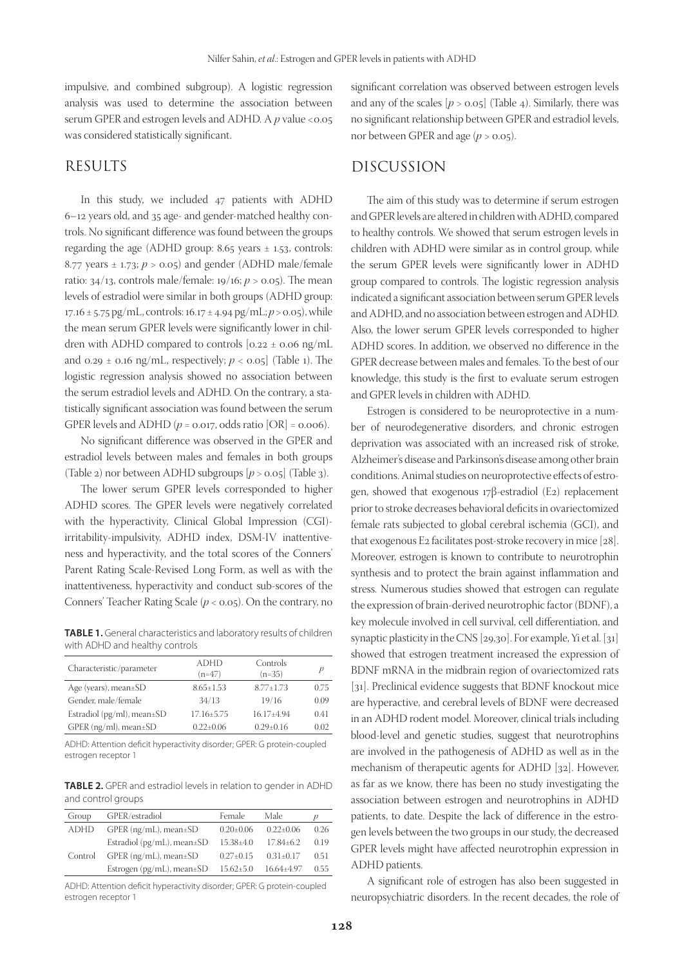impulsive, and combined subgroup). A logistic regression analysis was used to determine the association between serum GPER and estrogen levels and ADHD. A *p* value *<*0.05 was considered statistically significant.

### RESULTS

In this study, we included 47 patients with ADHD 6–12 years old, and 35 age- and gender-matched healthy controls. No significant difference was found between the groups regarding the age (ADHD group:  $8.65$  years  $\pm$  1.53, controls: 8.77 years  $\pm$  1.73;  $p > 0.05$ ) and gender (ADHD male/female ratio:  $34/13$ , controls male/female:  $19/16$ ;  $p > 0.05$ ). The mean levels of estradiol were similar in both groups (ADHD group: 17.16 ± 5.75 pg/mL, controls: 16.17 ± 4.94 pg/mL; *p* > 0.05), while the mean serum GPER levels were significantly lower in children with ADHD compared to controls  $[0.22 \pm 0.06 \text{ ng/mL}]$ and  $0.29 \pm 0.16$  ng/mL, respectively;  $p < 0.05$  (Table 1). The logistic regression analysis showed no association between the serum estradiol levels and ADHD. On the contrary, a statistically significant association was found between the serum GPER levels and ADHD ( $p = 0.017$ , odds ratio [OR] =  $0.006$ ).

No significant difference was observed in the GPER and estradiol levels between males and females in both groups (Table 2) nor between ADHD subgroups  $[p > 0.05]$  (Table 3).

The lower serum GPER levels corresponded to higher ADHD scores. The GPER levels were negatively correlated with the hyperactivity, Clinical Global Impression (CGI) irritability-impulsivity, ADHD index, DSM-IV inattentiveness and hyperactivity, and the total scores of the Conners' Parent Rating Scale-Revised Long Form, as well as with the inattentiveness, hyperactivity and conduct sub-scores of the Conners' Teacher Rating Scale (*p* < 0.05). On the contrary, no

**TABLE 1.** General characteristics and laboratory results of children with ADHD and healthy controls

| <b>ADHD</b><br>$(n=47)$ | Controls<br>$(n=35)$ | р    |
|-------------------------|----------------------|------|
| $8.65 \pm 1.53$         | $8.77 + 1.73$        | 0.75 |
| 34/13                   | 19/16                | 0.09 |
| $17.16 \pm 5.75$        | $16.17 + 4.94$       | 0.41 |
| $0.22 \pm 0.06$         | $0.29 \pm 0.16$      | 0.02 |
|                         |                      |      |

ADHD: Attention deficit hyperactivity disorder; GPER: G protein-coupled estrogen receptor 1

**TABLE 2.** GPER and estradiol levels in relation to gender in ADHD and control groups

| Group       | GPER/estradiol                       | Female          | Male            | р    |
|-------------|--------------------------------------|-----------------|-----------------|------|
| <b>ADHD</b> | $GPER$ (ng/mL), mean $\pm SD$        | $0.20 \pm 0.06$ | $0.22 \pm 0.06$ | 0.26 |
|             | Estradiol ( $pg/mL$ ), mean $\pm SD$ | $15.38{\pm}4.0$ | $17.84 \pm 6.2$ | 0.19 |
| Control     | $GPER$ (ng/mL), mean $\pm SD$        | $0.27 \pm 0.15$ | $0.31 \pm 0.17$ | 0.51 |
|             | Estrogen ( $pg/mL$ ), mean $\pm SD$  | $15.62 \pm 5.0$ | 16.64±4.97      | 0.55 |

ADHD: Attention deficit hyperactivity disorder; GPER: G protein-coupled estrogen receptor 1

significant correlation was observed between estrogen levels and any of the scales  $[p > 0.05]$  (Table 4). Similarly, there was no significant relationship between GPER and estradiol levels, nor between GPER and age  $(p > 0.05)$ .

## DISCUSSION

The aim of this study was to determine if serum estrogen and GPER levels are altered in children with ADHD, compared to healthy controls. We showed that serum estrogen levels in children with ADHD were similar as in control group, while the serum GPER levels were significantly lower in ADHD group compared to controls. The logistic regression analysis indicated a significant association between serum GPER levels and ADHD, and no association between estrogen and ADHD. Also, the lower serum GPER levels corresponded to higher ADHD scores. In addition, we observed no difference in the GPER decrease between males and females. To the best of our knowledge, this study is the first to evaluate serum estrogen and GPER levels in children with ADHD.

Estrogen is considered to be neuroprotective in a number of neurodegenerative disorders, and chronic estrogen deprivation was associated with an increased risk of stroke, Alzheimer's disease and Parkinson's disease among other brain conditions. Animal studies on neuroprotective effects of estrogen, showed that exogenous 17β-estradiol (E2) replacement prior to stroke decreases behavioral deficits in ovariectomized female rats subjected to global cerebral ischemia (GCI), and that exogenous E2 facilitates post-stroke recovery in mice [28]. Moreover, estrogen is known to contribute to neurotrophin synthesis and to protect the brain against inflammation and stress. Numerous studies showed that estrogen can regulate the expression of brain-derived neurotrophic factor (BDNF), a key molecule involved in cell survival, cell differentiation, and synaptic plasticity in the CNS [29,30]. For example, Yi et al. [31] showed that estrogen treatment increased the expression of BDNF mRNA in the midbrain region of ovariectomized rats [31]. Preclinical evidence suggests that BDNF knockout mice are hyperactive, and cerebral levels of BDNF were decreased in an ADHD rodent model. Moreover, clinical trials including blood-level and genetic studies, suggest that neurotrophins are involved in the pathogenesis of ADHD as well as in the mechanism of therapeutic agents for ADHD [32]. However, as far as we know, there has been no study investigating the association between estrogen and neurotrophins in ADHD patients, to date. Despite the lack of difference in the estrogen levels between the two groups in our study, the decreased GPER levels might have affected neurotrophin expression in ADHD patients.

A significant role of estrogen has also been suggested in neuropsychiatric disorders. In the recent decades, the role of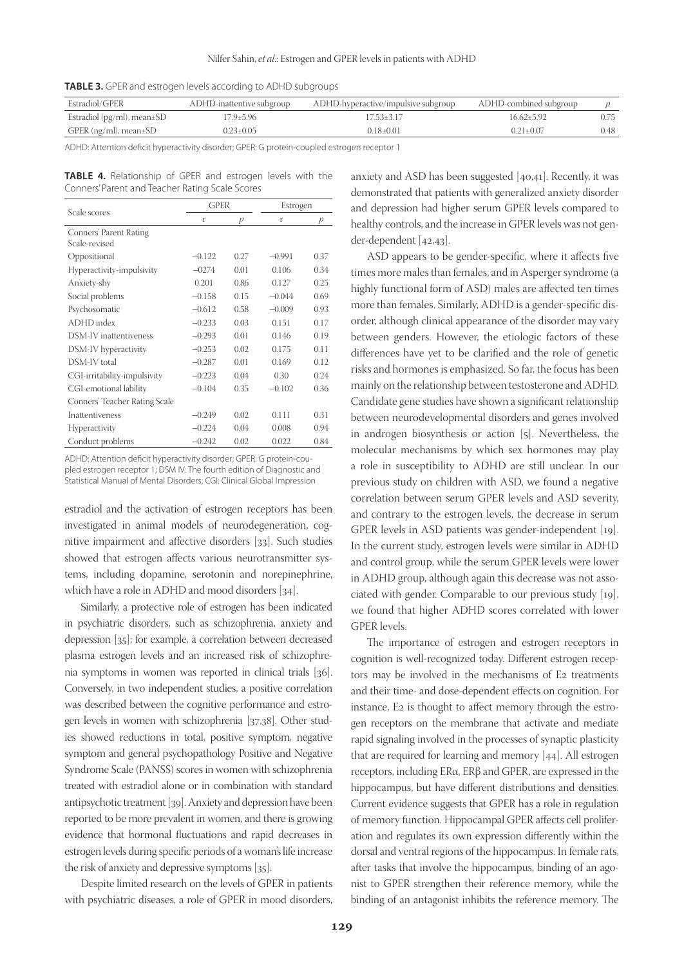|  |  | <b>TABLE 3.</b> GPER and estrogen levels according to ADHD subgroups |  |
|--|--|----------------------------------------------------------------------|--|
|--|--|----------------------------------------------------------------------|--|

| Estradiol/GPER                   | ADHD-inattentive subgroup | ADHD-hyperactive/impulsive subgroup | ADHD-combined subgroup |      |
|----------------------------------|---------------------------|-------------------------------------|------------------------|------|
| Estradiol (pg/ml), mean $\pm$ SD | 17.9+5.96                 | $17.53 + 3.17$                      | $16.62 + 5.92$         |      |
| GPER (ng/ml), mean±SD            | $0.23 \pm 0.05$           | $0.18 + 0.01$                       | $0.21 + 0.07$          | 0.48 |

ADHD: Attention deficit hyperactivity disorder; GPER: G protein-coupled estrogen receptor 1

**TABLE 4.** Relationship of GPER and estrogen levels with the Conners' Parent and Teacher Rating Scale Scores

|                                         | <b>GPER</b> |               | Estrogen |               |
|-----------------------------------------|-------------|---------------|----------|---------------|
| Scale scores                            | r           | $\mathcal{D}$ | r        | $\mathcal{P}$ |
| Conners' Parent Rating<br>Scale-revised |             |               |          |               |
| Oppositional                            | $-0.122$    | 0.27          | $-0.991$ | 0.37          |
| Hyperactivity-impulsivity               | $-0274$     | 0.01          | 0.106    | 0.34          |
| Anxiety-shy                             | 0.201       | 0.86          | 0.127    | 0.25          |
| Social problems                         | $-0.158$    | 0.15          | $-0.044$ | 0.69          |
| Psychosomatic                           | $-0.612$    | 0.58          | $-0.009$ | 0.93          |
| ADHD index                              | $-0.233$    | 0.03          | 0.151    | 0.17          |
| DSM-IV inattentiveness                  | $-0.293$    | 0.01          | 0.146    | 0.19          |
| DSM-IV hyperactivity                    | $-0.253$    | 0.02          | 0.175    | 0.11          |
| DSM-IV total                            | $-0.287$    | 0.01          | 0.169    | 0.12          |
| CGI-irritability-impulsivity            | $-0.223$    | 0.04          | 0.30     | 0.24          |
| CGI-emotional lability                  | $-0.104$    | 0.35          | $-0.102$ | 0.36          |
| Conners' Teacher Rating Scale           |             |               |          |               |
| Inattentiveness                         | $-0.249$    | 0.02          | 0.111    | 0.31          |
| Hyperactivity                           | $-0.224$    | 0.04          | 0.008    | 0.94          |
| Conduct problems                        | $-0.242$    | 0.02          | 0.022    | 0.84          |

ADHD: Attention deficit hyperactivity disorder; GPER: G protein-coupled estrogen receptor 1; DSM IV: The fourth edition of Diagnostic and Statistical Manual of Mental Disorders; CGI: Clinical Global Impression

estradiol and the activation of estrogen receptors has been investigated in animal models of neurodegeneration, cognitive impairment and affective disorders [33]. Such studies showed that estrogen affects various neurotransmitter systems, including dopamine, serotonin and norepinephrine, which have a role in ADHD and mood disorders [34].

Similarly, a protective role of estrogen has been indicated in psychiatric disorders, such as schizophrenia, anxiety and depression [35]; for example, a correlation between decreased plasma estrogen levels and an increased risk of schizophrenia symptoms in women was reported in clinical trials [36]. Conversely, in two independent studies, a positive correlation was described between the cognitive performance and estrogen levels in women with schizophrenia [37,38]. Other studies showed reductions in total, positive symptom, negative symptom and general psychopathology Positive and Negative Syndrome Scale (PANSS) scores in women with schizophrenia treated with estradiol alone or in combination with standard antipsychotic treatment [39]. Anxiety and depression have been reported to be more prevalent in women, and there is growing evidence that hormonal fluctuations and rapid decreases in estrogen levels during specific periods of a woman's life increase the risk of anxiety and depressive symptoms [35].

Despite limited research on the levels of GPER in patients with psychiatric diseases, a role of GPER in mood disorders,

anxiety and ASD has been suggested [40,41]. Recently, it was demonstrated that patients with generalized anxiety disorder and depression had higher serum GPER levels compared to healthy controls, and the increase in GPER levels was not gender-dependent [42,43].

ASD appears to be gender-specific, where it affects five times more males than females, and in Asperger syndrome (a highly functional form of ASD) males are affected ten times more than females. Similarly, ADHD is a gender-specific disorder, although clinical appearance of the disorder may vary between genders. However, the etiologic factors of these differences have yet to be clarified and the role of genetic risks and hormones is emphasized. So far, the focus has been mainly on the relationship between testosterone and ADHD. Candidate gene studies have shown a significant relationship between neurodevelopmental disorders and genes involved in androgen biosynthesis or action [5]. Nevertheless, the molecular mechanisms by which sex hormones may play a role in susceptibility to ADHD are still unclear. In our previous study on children with ASD, we found a negative correlation between serum GPER levels and ASD severity, and contrary to the estrogen levels, the decrease in serum GPER levels in ASD patients was gender-independent [19]. In the current study, estrogen levels were similar in ADHD and control group, while the serum GPER levels were lower in ADHD group, although again this decrease was not associated with gender. Comparable to our previous study [19], we found that higher ADHD scores correlated with lower GPER levels.

The importance of estrogen and estrogen receptors in cognition is well-recognized today. Different estrogen receptors may be involved in the mechanisms of E2 treatments and their time- and dose-dependent effects on cognition. For instance, E2 is thought to affect memory through the estrogen receptors on the membrane that activate and mediate rapid signaling involved in the processes of synaptic plasticity that are required for learning and memory [44]. All estrogen receptors, including ERα, ERβ and GPER, are expressed in the hippocampus, but have different distributions and densities. Current evidence suggests that GPER has a role in regulation of memory function. Hippocampal GPER affects cell proliferation and regulates its own expression differently within the dorsal and ventral regions of the hippocampus. In female rats, after tasks that involve the hippocampus, binding of an agonist to GPER strengthen their reference memory, while the binding of an antagonist inhibits the reference memory. The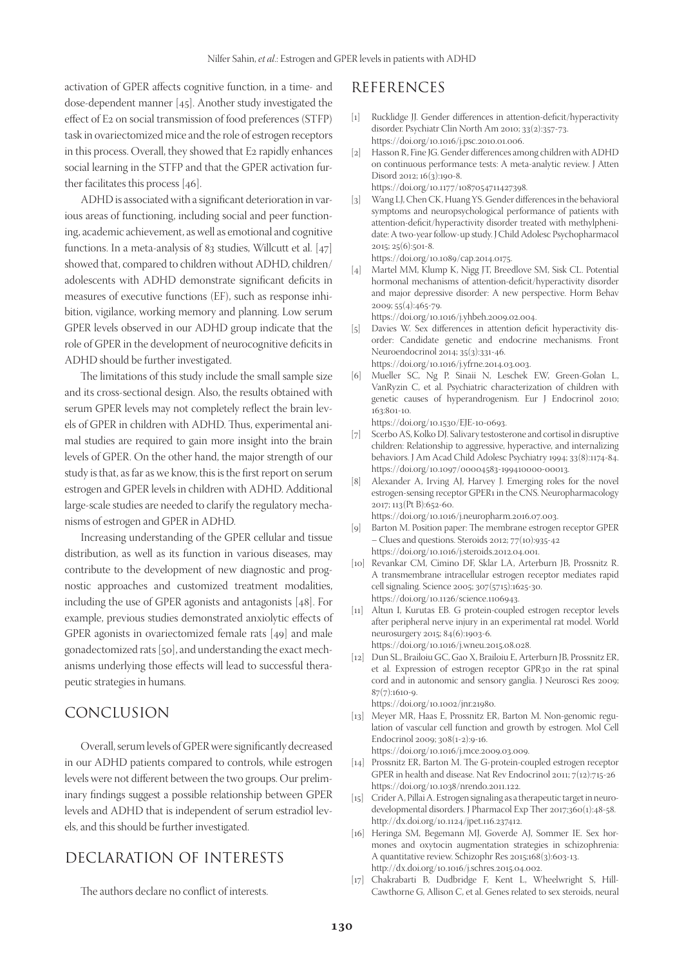activation of GPER affects cognitive function, in a time- and dose-dependent manner [45]. Another study investigated the effect of E2 on social transmission of food preferences (STFP) task in ovariectomized mice and the role of estrogen receptors in this process. Overall, they showed that E2 rapidly enhances social learning in the STFP and that the GPER activation further facilitates this process [46].

ADHD is associated with a significant deterioration in various areas of functioning, including social and peer functioning, academic achievement, as well as emotional and cognitive functions. In a meta-analysis of 83 studies, Willcutt et al. [47] showed that, compared to children without ADHD, children/ adolescents with ADHD demonstrate significant deficits in measures of executive functions (EF), such as response inhibition, vigilance, working memory and planning. Low serum GPER levels observed in our ADHD group indicate that the role of GPER in the development of neurocognitive deficits in ADHD should be further investigated.

The limitations of this study include the small sample size and its cross-sectional design. Also, the results obtained with serum GPER levels may not completely reflect the brain levels of GPER in children with ADHD. Thus, experimental animal studies are required to gain more insight into the brain levels of GPER. On the other hand, the major strength of our study is that, as far as we know, this is the first report on serum estrogen and GPER levels in children with ADHD. Additional large-scale studies are needed to clarify the regulatory mechanisms of estrogen and GPER in ADHD.

Increasing understanding of the GPER cellular and tissue distribution, as well as its function in various diseases, may contribute to the development of new diagnostic and prognostic approaches and customized treatment modalities, including the use of GPER agonists and antagonists [48]. For example, previous studies demonstrated anxiolytic effects of GPER agonists in ovariectomized female rats [49] and male gonadectomized rats [50], and understanding the exact mechanisms underlying those effects will lead to successful therapeutic strategies in humans.

## CONCLUSION

Overall, serum levels of GPER were significantly decreased in our ADHD patients compared to controls, while estrogen levels were not different between the two groups. Our preliminary findings suggest a possible relationship between GPER levels and ADHD that is independent of serum estradiol levels, and this should be further investigated.

## DECLARATION OF INTERESTS

The authors declare no conflict of interests.

## REFERENCES

- [1] Rucklidge JJ. Gender differences in attention-deficit/hyperactivity disorder. Psychiatr Clin North Am 2010; 33(2):357-73. https://doi.org/10.1016/j.psc.2010.01.006.
- [2] Hasson R, Fine JG. Gender differences among children with ADHD on continuous performance tests: A meta-analytic review. J Atten Disord 2012; 16(3):190-8. https://doi.org/10.1177/1087054711427398.
- [3] Wang LJ, Chen CK, Huang YS. Gender differences in the behavioral symptoms and neuropsychological performance of patients with attention-deficit/hyperactivity disorder treated with methylphenidate: A two-year follow-up study. J Child Adolesc Psychopharmacol 2015; 25(6):501-8. https://doi.org/10.1089/cap.2014.0175.
- [4] Martel MM, Klump K, Nigg JT, Breedlove SM, Sisk CL. Potential hormonal mechanisms of attention-deficit/hyperactivity disorder and major depressive disorder: A new perspective. Horm Behav 2009; 55(4):465-79.
	- https://doi.org/10.1016/j.yhbeh.2009.02.004.
- [5] Davies W. Sex differences in attention deficit hyperactivity disorder: Candidate genetic and endocrine mechanisms. Front Neuroendocrinol 2014; 35(3):331-46. https://doi.org/10.1016/j.yfrne.2014.03.003.
- [6] Mueller SC, Ng P, Sinaii N, Leschek EW, Green-Golan L, VanRyzin C, et al. Psychiatric characterization of children with genetic causes of hyperandrogenism. Eur J Endocrinol 2010; 163:801-10.

https://doi.org/10.1530/EJE-10-0693.

- [7] Scerbo AS, Kolko DJ. Salivary testosterone and cortisol in disruptive children: Relationship to aggressive, hyperactive, and internalizing behaviors. J Am Acad Child Adolesc Psychiatry 1994; 33(8):1174-84. https://doi.org/10.1097/00004583-199410000-00013.
- [8] Alexander A, Irving AJ, Harvey J. Emerging roles for the novel estrogen-sensing receptor GPER1 in the CNS. Neuropharmacology 2017; 113(Pt B):652-60.

https://doi.org/10.1016/j.neuropharm.2016.07.003.

- [9] Barton M. Position paper: The membrane estrogen receptor GPER – Clues and questions. Steroids 2012; 77(10):935-42 https://doi.org/10.1016/j.steroids.2012.04.001.
- [10] Revankar CM, Cimino DF, Sklar LA, Arterburn JB, Prossnitz R. A transmembrane intracellular estrogen receptor mediates rapid cell signaling. Science 2005; 307(5715):1625-30. https://doi.org/10.1126/science.1106943.
- [11] Altun I, Kurutas EB. G protein-coupled estrogen receptor levels after peripheral nerve injury in an experimental rat model. World neurosurgery 2015; 84(6):1903-6. https://doi.org/10.1016/j.wneu.2015.08.028.
- [12] Dun SL, Brailoiu GC, Gao X, Brailoiu E, Arterburn JB, Prossnitz ER, et al. Expression of estrogen receptor GPR30 in the rat spinal cord and in autonomic and sensory ganglia. J Neurosci Res 2009;  $87(7):1610-9.$

https://doi.org/10.1002/jnr.21980.

[13] Meyer MR, Haas E, Prossnitz ER, Barton M. Non-genomic regulation of vascular cell function and growth by estrogen. Mol Cell Endocrinol 2009; 308(1-2):9-16. https://doi.org/10.1016/j.mce.2009.03.009.

- [14] Prossnitz ER, Barton M. The G-protein-coupled estrogen receptor GPER in health and disease. Nat Rev Endocrinol 2011; 7(12):715-26 https://doi.org/10.1038/nrendo.2011.122.
- [15] Crider A, Pillai A. Estrogen signaling as a therapeutic target in neurodevelopmental disorders. J Pharmacol Exp Ther 2017;360(1):48-58. http://dx.doi.org/10.1124/jpet.116.237412.
- [16] Heringa SM, Begemann MJ, Goverde AJ, Sommer IE. Sex hormones and oxytocin augmentation strategies in schizophrenia: A quantitative review. Schizophr Res 2015;168(3):603-13. http://dx.doi.org/10.1016/j.schres.2015.04.002.
- [17] Chakrabarti B, Dudbridge F, Kent L, Wheelwright S, Hill-Cawthorne G, Allison C, et al. Genes related to sex steroids, neural